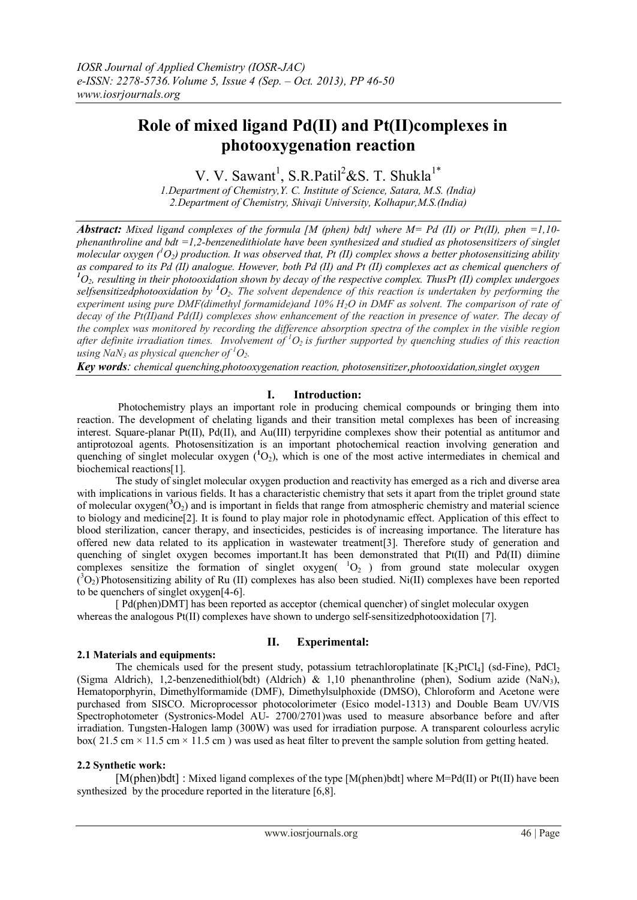# **Role of mixed ligand Pd(II) and Pt(II)complexes in photooxygenation reaction**

V. V. Sawant<sup>1</sup>, S.R.Patil<sup>2</sup>&S. T. Shukla<sup>1\*</sup>

*1.Department of Chemistry,Y. C. Institute of Science, Satara, M.S. (India) 2.Department of Chemistry, Shivaji University, Kolhapur,M.S.(India)*

*Abstract: Mixed ligand complexes of the formula [M (phen) bdt] where M= Pd (II) or Pt(II), phen =1,10 phenanthroline and bdt =1,2-benzenedithiolate have been synthesized and studied as photosensitizers of singlet*  molecular oxygen  $(^1O_2)$  production. It was observed that, Pt (II) complex shows a better photosensitizing ability *as compared to its Pd (II) analogue. However, both Pd (II) and Pt (II) complexes act as chemical quenchers of <sup>1</sup>O2, resulting in their photooxidation shown by decay of the respective complex. ThusPt (II) complex undergoes selfsensitizedphotooxidation by <sup>1</sup>O2. The solvent dependence of this reaction is undertaken by performing the experiment using pure DMF(dimethyl formamide)and 10% H2O in DMF as solvent. The comparison of rate of decay of the Pt(II)and Pd(II) complexes show enhancement of the reaction in presence of water. The decay of the complex was monitored by recording the difference absorption spectra of the complex in the visible region after definite irradiation times. Involvement of <sup>1</sup>O<sup>2</sup> is further supported by quenching studies of this reaction using NaN*<sup>3</sup> *as physical quencher of* <sup>*1*</sup> $O$ <sub>2</sub>*.* 

*Key words: chemical quenching,photooxygenation reaction, photosensitizer,photooxidation,singlet oxygen*

# **I. Introduction:**

Photochemistry plays an important role in producing chemical compounds or bringing them into reaction. The development of chelating ligands and their transition metal complexes has been of increasing interest. Square-planar Pt(II), Pd(II), and Au(III) terpyridine complexes show their potential as antitumor and antiprotozoal agents. Photosensitization is an important photochemical reaction involving generation and quenching of singlet molecular oxygen  $({}^{1}O_2)$ , which is one of the most active intermediates in chemical and biochemical reactions[1].

The study of singlet molecular oxygen production and reactivity has emerged as a rich and diverse area with implications in various fields. It has a characteristic chemistry that sets it apart from the triplet ground state of molecular oxygen( ${}^{3}O_2$ ) and is important in fields that range from atmospheric chemistry and material science to biology and medicine[2]. It is found to play major role in photodynamic effect. Application of this effect to blood sterilization, cancer therapy, and insecticides, pesticides is of increasing importance. The literature has offered new data related to its application in wastewater treatment[3]. Therefore study of generation and quenching of singlet oxygen becomes important.It has been demonstrated that Pt(II) and Pd(II) diimine complexes sensitize the formation of singlet oxygen( $^{1}O_{2}$ ) from ground state molecular oxygen  $({}^3O_2)$  Photosensitizing ability of Ru (II) complexes has also been studied. Ni(II) complexes have been reported to be quenchers of singlet oxygen[4-6].

[ Pd(phen)DMT] has been reported as acceptor (chemical quencher) of singlet molecular oxygen whereas the analogous Pt(II) complexes have shown to undergo self-sensitized photooxidation [7].

# **II. Experimental:**

# **2.1 Materials and equipments:**

The chemicals used for the present study, potassium tetrachloroplatinate  $[K_2PtCl_4]$  (sd-Fine), PdCl<sub>2</sub> (Sigma Aldrich), 1,2-benzenedithiol(bdt) (Aldrich) & 1,10 phenanthroline (phen), Sodium azide (NaN3), Hematoporphyrin, Dimethylformamide (DMF), Dimethylsulphoxide (DMSO), Chloroform and Acetone were purchased from SISCO. Microprocessor photocolorimeter (Esico model-1313) and Double Beam UV/VIS Spectrophotometer (Systronics-Model AU- 2700/2701)was used to measure absorbance before and after irradiation. Tungsten-Halogen lamp (300W) was used for irradiation purpose. A transparent colourless acrylic box( 21.5 cm  $\times$  11.5 cm  $\times$  11.5 cm) was used as heat filter to prevent the sample solution from getting heated.

# **2.2 Synthetic work:**

[M(phen)bdt] : Mixed ligand complexes of the type [M(phen)bdt] where M=Pd(II) or Pt(II) have been synthesized by the procedure reported in the literature [6,8].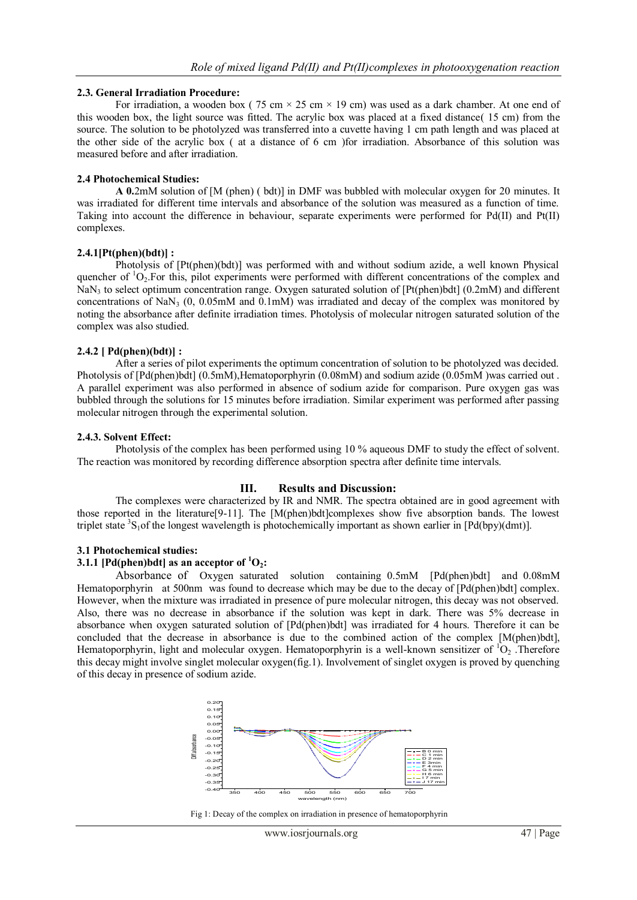#### **2.3. General Irradiation Procedure:**

For irradiation, a wooden box (75 cm  $\times$  25 cm  $\times$  19 cm) was used as a dark chamber. At one end of this wooden box, the light source was fitted. The acrylic box was placed at a fixed distance( 15 cm) from the source. The solution to be photolyzed was transferred into a cuvette having 1 cm path length and was placed at the other side of the acrylic box ( at a distance of 6 cm )for irradiation. Absorbance of this solution was measured before and after irradiation.

#### **2.4 Photochemical Studies:**

**A 0.**2mM solution of [M (phen) ( bdt)] in DMF was bubbled with molecular oxygen for 20 minutes. It was irradiated for different time intervals and absorbance of the solution was measured as a function of time. Taking into account the difference in behaviour, separate experiments were performed for Pd(II) and Pt(II) complexes.

## **2.4.1[Pt(phen)(bdt)] :**

Photolysis of [Pt(phen)(bdt)] was performed with and without sodium azide, a well known Physical quencher of  ${}^{1}O_{2}$ . For this, pilot experiments were performed with different concentrations of the complex and NaN<sup>3</sup> to select optimum concentration range. Oxygen saturated solution of [Pt(phen)bdt] (0.2mM) and different concentrations of NaN<sub>3</sub> (0, 0.05mM and 0.1mM) was irradiated and decay of the complex was monitored by noting the absorbance after definite irradiation times. Photolysis of molecular nitrogen saturated solution of the complex was also studied.

## **2.4.2 [ Pd(phen)(bdt)] :**

After a series of pilot experiments the optimum concentration of solution to be photolyzed was decided. Photolysis of [Pd(phen)bdt] (0.5mM),Hematoporphyrin (0.08mM) and sodium azide (0.05mM )was carried out . A parallel experiment was also performed in absence of sodium azide for comparison. Pure oxygen gas was bubbled through the solutions for 15 minutes before irradiation. Similar experiment was performed after passing molecular nitrogen through the experimental solution.

## **2.4.3. Solvent Effect:**

Photolysis of the complex has been performed using 10 % aqueous DMF to study the effect of solvent. The reaction was monitored by recording difference absorption spectra after definite time intervals.

# **III. Results and Discussion:**

The complexes were characterized by IR and NMR. The spectra obtained are in good agreement with those reported in the literature[9-11]. The [M(phen)bdt]complexes show five absorption bands. The lowest triplet state  ${}^{3}S_{1}$ of the longest wavelength is photochemically important as shown earlier in [Pd(bpy)(dmt)].

#### **3.1 Photochemical studies:**

## **3.1.1** [Pd(phen)bdt] as an acceptor of  ${}^{1}O_{2}$ **:**

Absorbance of Oxygen saturated solution containing 0.5mM [Pd(phen)bdt] and 0.08mM Hematoporphyrin at 500nm was found to decrease which may be due to the decay of [Pd(phen)bdt] complex. However, when the mixture was irradiated in presence of pure molecular nitrogen, this decay was not observed. Also, there was no decrease in absorbance if the solution was kept in dark. There was 5% decrease in absorbance when oxygen saturated solution of [Pd(phen)bdt] was irradiated for 4 hours. Therefore it can be concluded that the decrease in absorbance is due to the combined action of the complex [M(phen)bdt], Hematoporphyrin, light and molecular oxygen. Hematoporphyrin is a well-known sensitizer of  ${}^{1}O_{2}$ . Therefore this decay might involve singlet molecular oxygen(fig.1). Involvement of singlet oxygen is proved by quenching of this decay in presence of sodium azide.



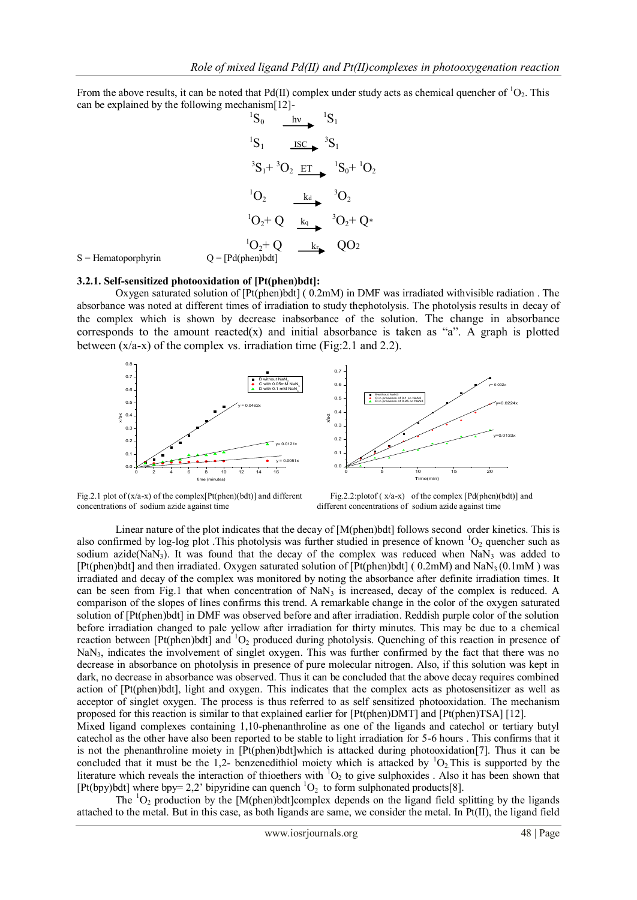From the above results, it can be noted that Pd(II) complex under study acts as chemical quencher of <sup>1</sup>O<sub>2</sub>. This can be explained by the following mechanism[12]-

$$
{}^{1}S_{0} \xrightarrow{hv} {}^{1}S_{1}
$$
  
\n
$$
{}^{1}S_{1} \xrightarrow{ISC} {}^{3}S_{1}
$$
  
\n
$$
{}^{3}S_{1} + {}^{3}O_{2} \xrightarrow{ET} {}^{1}S_{0} + {}^{1}O_{2}
$$
  
\n
$$
{}^{1}O_{2} \xrightarrow{kd} {}^{3}O_{2}
$$
  
\n
$$
{}^{1}O_{2} + Q \xrightarrow{k_{q}} {}^{3}O_{2} + Q^{*}
$$
  
\n
$$
{}^{1}O_{2} + Q \xrightarrow{k_{r}} QO_{2}
$$
  
\n
$$
Q = [Pd(phen)bdt]
$$

 $S =$  Hematopor

#### **3.2.1. Self-sensitized photooxidation of [Pt(phen)bdt]:**

Oxygen saturated solution of [Pt(phen)bdt] ( 0.2mM) in DMF was irradiated withvisible radiation . The absorbance was noted at different times of irradiation to study thephotolysis. The photolysis results in decay of the complex which is shown by decrease inabsorbance of the solution. The change in absorbance corresponds to the amount reacted(x) and initial absorbance is taken as "a". A graph is plotted between  $(x/a-x)$  of the complex vs. irradiation time (Fig: 2.1 and 2.2).





Fig.2.1 plot of (x/a-x) of the complex [Pt(phen)(bdt)] and different Fig.2.2:plotof (x/a-x) of the complex [Pd(phen)(bdt)] and concentrations of sodium azide against time different concentrations of sodium azide against time

Linear nature of the plot indicates that the decay of [M(phen)bdt] follows second order kinetics. This is also confirmed by log-log plot . This photolysis was further studied in presence of known  ${}^{1}O_{2}$  quencher such as sodium azide( $NaN<sub>3</sub>$ ). It was found that the decay of the complex was reduced when  $NaN<sub>3</sub>$  was added to [Pt(phen)bdt] and then irradiated. Oxygen saturated solution of [Pt(phen)bdt] (0.2mM) and NaN<sub>3</sub> (0.1mM) was irradiated and decay of the complex was monitored by noting the absorbance after definite irradiation times. It can be seen from Fig.1 that when concentration of  $NaN<sub>3</sub>$  is increased, decay of the complex is reduced. A comparison of the slopes of lines confirms this trend. A remarkable change in the color of the oxygen saturated solution of [Pt(phen)bdt] in DMF was observed before and after irradiation. Reddish purple color of the solution before irradiation changed to pale yellow after irradiation for thirty minutes. This may be due to a chemical reaction between  $[Pt(phen)bdt]$  and  ${}^{1}O_{2}$  produced during photolysis. Quenching of this reaction in presence of NaN<sub>3</sub>, indicates the involvement of singlet oxygen. This was further confirmed by the fact that there was no decrease in absorbance on photolysis in presence of pure molecular nitrogen. Also, if this solution was kept in dark, no decrease in absorbance was observed. Thus it can be concluded that the above decay requires combined action of [Pt(phen)bdt], light and oxygen. This indicates that the complex acts as photosensitizer as well as acceptor of singlet oxygen. The process is thus referred to as self sensitized photooxidation. The mechanism proposed for this reaction is similar to that explained earlier for [Pt(phen)DMT] and [Pt(phen)TSA] [12]. Mixed ligand complexes containing 1,10-phenanthroline as one of the ligands and catechol or tertiary butyl

catechol as the other have also been reported to be stable to light irradiation for 5-6 hours . This confirms that it is not the phenanthroline moiety in [Pt(phen)bdt]which is attacked during photooxidation[7]. Thus it can be concluded that it must be the 1,2- benzenedithiol moiety which is attacked by  ${}^{1}O_{2}$ . This is supported by the literature which reveals the interaction of thioethers with  ${}^{1}O_2$  to give sulphoxides . Also it has been shown that [Pt(bpy)bdt] where bpy= 2,2' bipyridine can quench  ${}^{1}O_{2}$  to form sulphonated products[8].

The  ${}^{1}O_2$  production by the [M(phen)bdt]complex depends on the ligand field splitting by the ligands attached to the metal. But in this case, as both ligands are same, we consider the metal. In Pt(II), the ligand field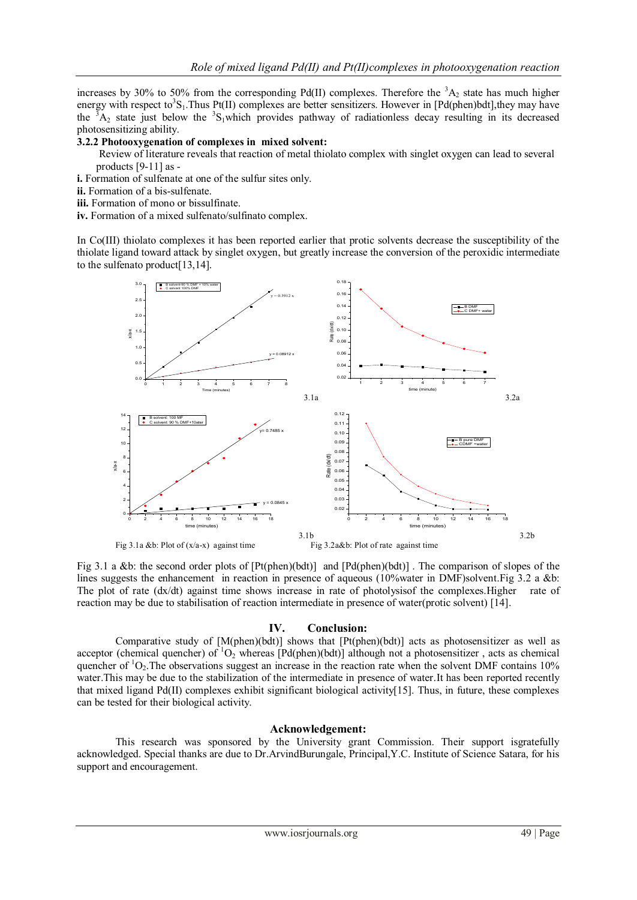increases by 30% to 50% from the corresponding Pd(II) complexes. Therefore the  ${}^{3}A_2$  state has much higher energy with respect to<sup>3</sup>S<sub>1</sub>. Thus Pt(II) complexes are better sensitizers. However in [Pd(phen)bdt], they may have the  ${}^{3}A_2$  state just below the  ${}^{3}S_1$ which provides pathway of radiationless decay resulting in its decreased photosensitizing ability.

#### **3.2.2 Photooxygenation of complexes in mixed solvent:**

- Review of literature reveals that reaction of metal thiolato complex with singlet oxygen can lead to several products [9-11] as -
- **i.** Formation of sulfenate at one of the sulfur sites only.
- **ii.** Formation of a bis-sulfenate.
- **iii.** Formation of mono or bissulfinate.
- **iv.** Formation of a mixed sulfenato/sulfinato complex.

In Co(III) thiolato complexes it has been reported earlier that protic solvents decrease the susceptibility of the thiolate ligand toward attack by singlet oxygen, but greatly increase the conversion of the peroxidic intermediate to the sulfenato product[13,14].



Fig 3.1 a &b: the second order plots of [Pt(phen)(bdt)] and [Pd(phen)(bdt)] . The comparison of slopes of the lines suggests the enhancement in reaction in presence of aqueous (10%water in DMF)solvent. Fig 3.2 a &b: The plot of rate (dx/dt) against time shows increase in rate of photolysisof the complexes. Higher rate of reaction may be due to stabilisation of reaction intermediate in presence of water(protic solvent) [14].

#### **IV. Conclusion:**

Comparative study of  $[M(phen)(bdt)]$  shows that  $[Pt(phen)(bdt)]$  acts as photosensitizer as well as acceptor (chemical quencher) of  ${}^{1}O_{2}$  whereas [Pd(phen)(bdt)] although not a photosensitizer, acts as chemical quencher of  ${}^{1}O_{2}$ . The observations suggest an increase in the reaction rate when the solvent DMF contains 10% water.This may be due to the stabilization of the intermediate in presence of water.It has been reported recently that mixed ligand Pd(II) complexes exhibit significant biological activity[15]. Thus, in future, these complexes can be tested for their biological activity.

#### **Acknowledgement:**

This research was sponsored by the University grant Commission. Their support isgratefully acknowledged. Special thanks are due to Dr.ArvindBurungale, Principal,Y.C. Institute of Science Satara, for his support and encouragement.